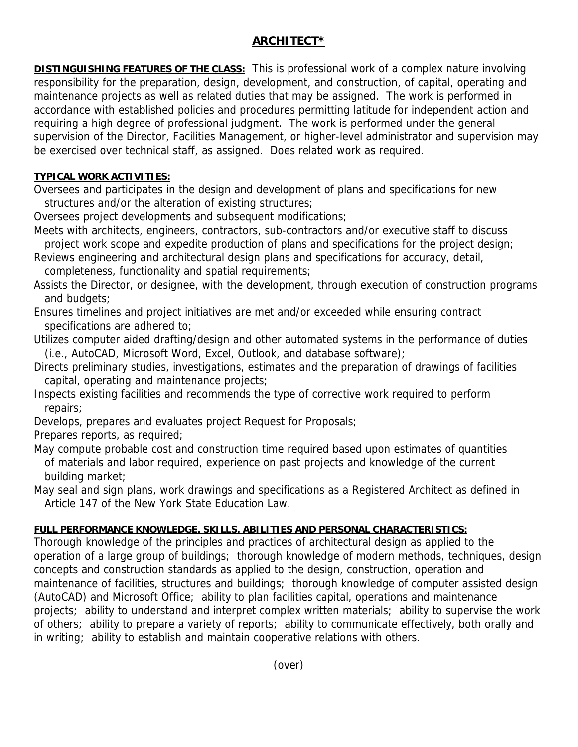## **ARCHITECT\***

**DISTINGUISHING FEATURES OF THE CLASS:** This is professional work of a complex nature involving responsibility for the preparation, design, development, and construction, of capital, operating and maintenance projects as well as related duties that may be assigned. The work is performed in accordance with established policies and procedures permitting latitude for independent action and requiring a high degree of professional judgment. The work is performed under the general supervision of the Director, Facilities Management, or higher-level administrator and supervision may be exercised over technical staff, as assigned. Does related work as required.

## **TYPICAL WORK ACTIVITIES:**

Oversees and participates in the design and development of plans and specifications for new structures and/or the alteration of existing structures;

Oversees project developments and subsequent modifications;

- Meets with architects, engineers, contractors, sub-contractors and/or executive staff to discuss project work scope and expedite production of plans and specifications for the project design;
- Reviews engineering and architectural design plans and specifications for accuracy, detail, completeness, functionality and spatial requirements;
- Assists the Director, or designee, with the development, through execution of construction programs and budgets;
- Ensures timelines and project initiatives are met and/or exceeded while ensuring contract specifications are adhered to;
- Utilizes computer aided drafting/design and other automated systems in the performance of duties (i.e., AutoCAD, Microsoft Word, Excel, Outlook, and database software);
- Directs preliminary studies, investigations, estimates and the preparation of drawings of facilities capital, operating and maintenance projects;
- Inspects existing facilities and recommends the type of corrective work required to perform repairs;
- Develops, prepares and evaluates project Request for Proposals;

Prepares reports, as required;

May compute probable cost and construction time required based upon estimates of quantities of materials and labor required, experience on past projects and knowledge of the current building market;

May seal and sign plans, work drawings and specifications as a Registered Architect as defined in Article 147 of the New York State Education Law.

## **FULL PERFORMANCE KNOWLEDGE, SKILLS, ABILITIES AND PERSONAL CHARACTERISTICS:**

Thorough knowledge of the principles and practices of architectural design as applied to the operation of a large group of buildings; thorough knowledge of modern methods, techniques, design concepts and construction standards as applied to the design, construction, operation and maintenance of facilities, structures and buildings; thorough knowledge of computer assisted design (AutoCAD) and Microsoft Office; ability to plan facilities capital, operations and maintenance projects; ability to understand and interpret complex written materials; ability to supervise the work of others; ability to prepare a variety of reports; ability to communicate effectively, both orally and in writing; ability to establish and maintain cooperative relations with others.